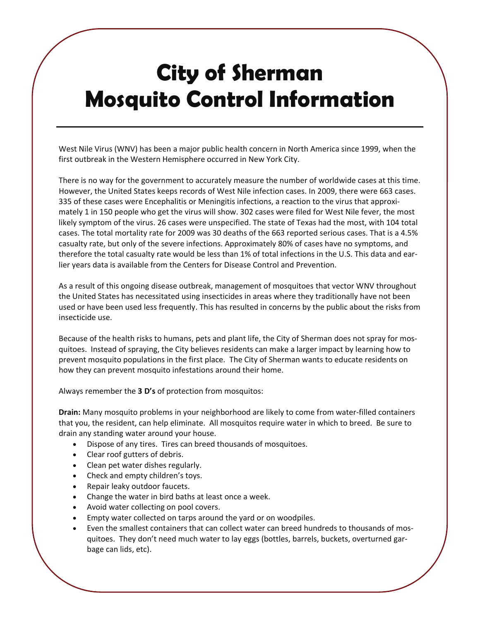## **City of Sherman Mosquito Control Information**

West Nile Virus (WNV) has been a major public health concern in North America since 1999, when the first outbreak in the Western Hemisphere occurred in New York City.

There is no way for the government to accurately measure the number of worldwide cases at this time. However, the United States keeps records of West Nile infection cases. In 2009, there were 663 cases. 335 of these cases were Encephalitis or Meningitis infections, a reaction to the virus that approximately 1 in 150 people who get the virus will show. 302 cases were filed for West Nile fever, the most likely symptom of the virus. 26 cases were unspecified. The state of Texas had the most, with 104 total cases. The total mortality rate for 2009 was 30 deaths of the 663 reported serious cases. That is a 4.5% casualty rate, but only of the severe infections. Approximately 80% of cases have no symptoms, and therefore the total casualty rate would be less than 1% of total infections in the U.S. This data and earlier years data is available from the Centers for Disease Control and Prevention.

As a result of this ongoing disease outbreak, management of mosquitoes that vector WNV throughout the United States has necessitated using insecticides in areas where they traditionally have not been used or have been used less frequently. This has resulted in concerns by the public about the risks from insecticide use.

Because of the health risks to humans, pets and plant life, the City of Sherman does not spray for mosquitoes. Instead of spraying, the City believes residents can make a larger impact by learning how to prevent mosquito populations in the first place. The City of Sherman wants to educate residents on how they can prevent mosquito infestations around their home.

Always remember the **3 D's** of protection from mosquitos:

**Drain:** Many mosquito problems in your neighborhood are likely to come from water‐filled containers that you, the resident, can help eliminate. All mosquitos require water in which to breed. Be sure to drain any standing water around your house.

- Dispose of any tires. Tires can breed thousands of mosquitoes.
- Clear roof gutters of debris.
- Clean pet water dishes regularly.
- Check and empty children's toys.
- Repair leaky outdoor faucets.
- Change the water in bird baths at least once a week.
- Avoid water collecting on pool covers.
- Empty water collected on tarps around the yard or on woodpiles.
- Even the smallest containers that can collect water can breed hundreds to thousands of mosquitoes. They don't need much water to lay eggs (bottles, barrels, buckets, overturned gar‐ bage can lids, etc).